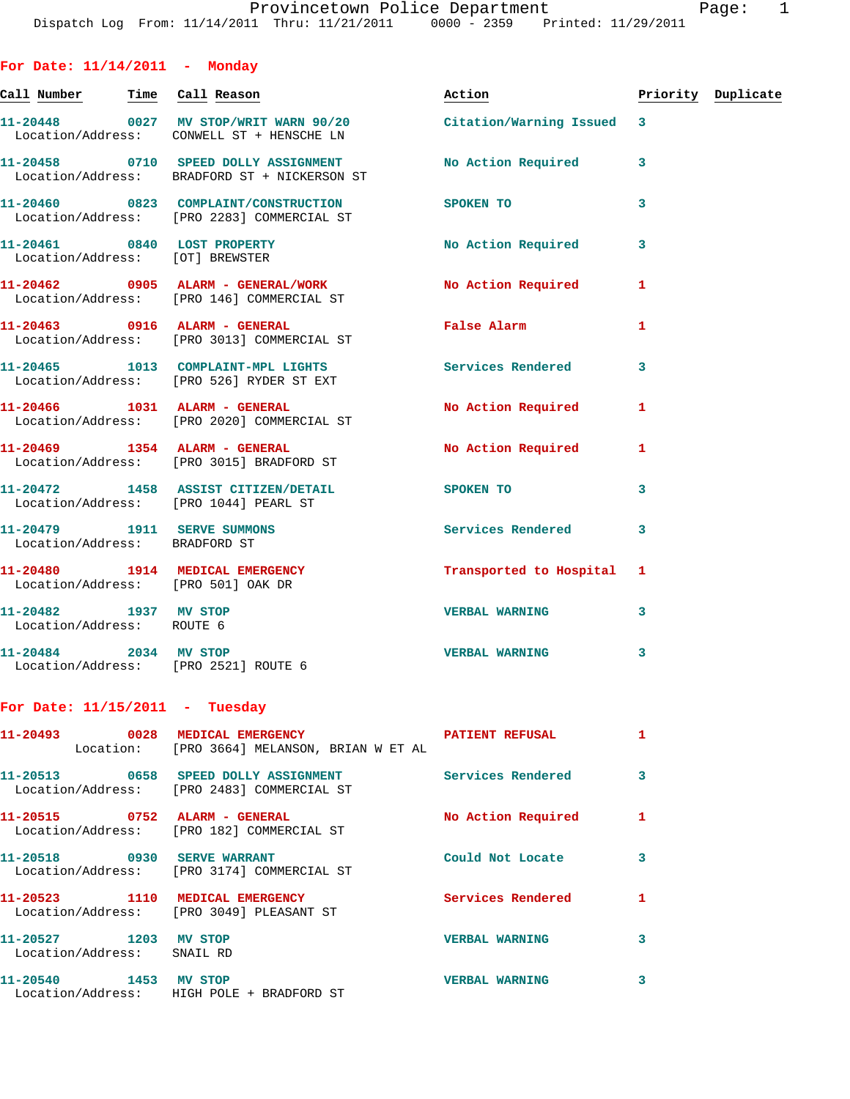| For Date: $11/14/2011$ - Monday                                    |                                                                                                              |                           |   |                    |
|--------------------------------------------------------------------|--------------------------------------------------------------------------------------------------------------|---------------------------|---|--------------------|
|                                                                    | Call Number Time Call Reason                                                                                 | Action                    |   | Priority Duplicate |
|                                                                    | 11-20448 0027 MV STOP/WRIT WARN 90/20 Citation/Warning Issued 3<br>Location/Address: CONWELL ST + HENSCHE LN |                           |   |                    |
|                                                                    | 11-20458 0710 SPEED DOLLY ASSIGNMENT<br>Location/Address: BRADFORD ST + NICKERSON ST                         | No Action Required 3      |   |                    |
|                                                                    | 11-20460 0823 COMPLAINT/CONSTRUCTION<br>Location/Address: [PRO 2283] COMMERCIAL ST                           | <b>SPOKEN TO</b>          | 3 |                    |
| Location/Address: [OT] BREWSTER                                    | 11-20461 0840 LOST PROPERTY                                                                                  | No Action Required 3      |   |                    |
|                                                                    | 11-20462 0905 ALARM - GENERAL/WORK<br>Location/Address: [PRO 146] COMMERCIAL ST                              | No Action Required 1      |   |                    |
|                                                                    | 11-20463 0916 ALARM - GENERAL<br>Location/Address: [PRO 3013] COMMERCIAL ST                                  | False Alarm               | 1 |                    |
|                                                                    | 11-20465 1013 COMPLAINT-MPL LIGHTS<br>Location/Address: [PRO 526] RYDER ST EXT                               | Services Rendered 3       |   |                    |
|                                                                    | 11-20466 1031 ALARM - GENERAL<br>Location/Address: [PRO 2020] COMMERCIAL ST                                  | No Action Required        | 1 |                    |
|                                                                    | 11-20469 1354 ALARM - GENERAL<br>Location/Address: [PRO 3015] BRADFORD ST                                    | No Action Required 1      |   |                    |
|                                                                    | 11-20472 1458 ASSIST CITIZEN/DETAIL SPOKEN TO<br>Location/Address: [PRO 1044] PEARL ST                       |                           | 3 |                    |
| 11-20479    1911    SERVE SUMMONS<br>Location/Address: BRADFORD ST |                                                                                                              | <b>Services Rendered</b>  | 3 |                    |
| Location/Address: [PRO 501] OAK DR                                 | 11-20480 1914 MEDICAL EMERGENCY                                                                              | Transported to Hospital 1 |   |                    |
| 11-20482 1937 MV STOP<br>Location/Address: ROUTE 6                 |                                                                                                              | <b>VERBAL WARNING</b>     | 3 |                    |
|                                                                    | 11-20484 2034 MV STOP<br>Location/Address: [PRO 2521] ROUTE 6                                                | <b>VERBAL WARNING</b>     | 3 |                    |
| For Date: $11/15/2011$ - Tuesday                                   |                                                                                                              |                           |   |                    |
|                                                                    | 11-20493 0028 MEDICAL EMERGENCY <b>ATIENT REFUSAL</b><br>Location: [PRO 3664] MELANSON, BRIAN W ET AL        |                           | 1 |                    |
|                                                                    | 11-20513 0658 SPEED DOLLY ASSIGNMENT<br>Location/Address: [PRO 2483] COMMERCIAL ST                           | <b>Services Rendered</b>  | 3 |                    |
|                                                                    | 11-20515 0752 ALARM - GENERAL<br>Location/Address: [PRO 182] COMMERCIAL ST                                   | No Action Required        | 1 |                    |
| 11-20518 0930 SERVE WARRANT                                        | Location/Address: [PRO 3174] COMMERCIAL ST                                                                   | Could Not Locate          | 3 |                    |
|                                                                    | 11-20523 1110 MEDICAL EMERGENCY<br>Location/Address: [PRO 3049] PLEASANT ST                                  | Services Rendered         | 1 |                    |
| 11-20527 1203 MV STOP                                              |                                                                                                              | <b>VERBAL WARNING</b>     | 3 |                    |

Location/Address: SNAIL RD

**11-20540 1453 MV STOP VERBAL WARNING 3**  Location/Address: HIGH POLE + BRADFORD ST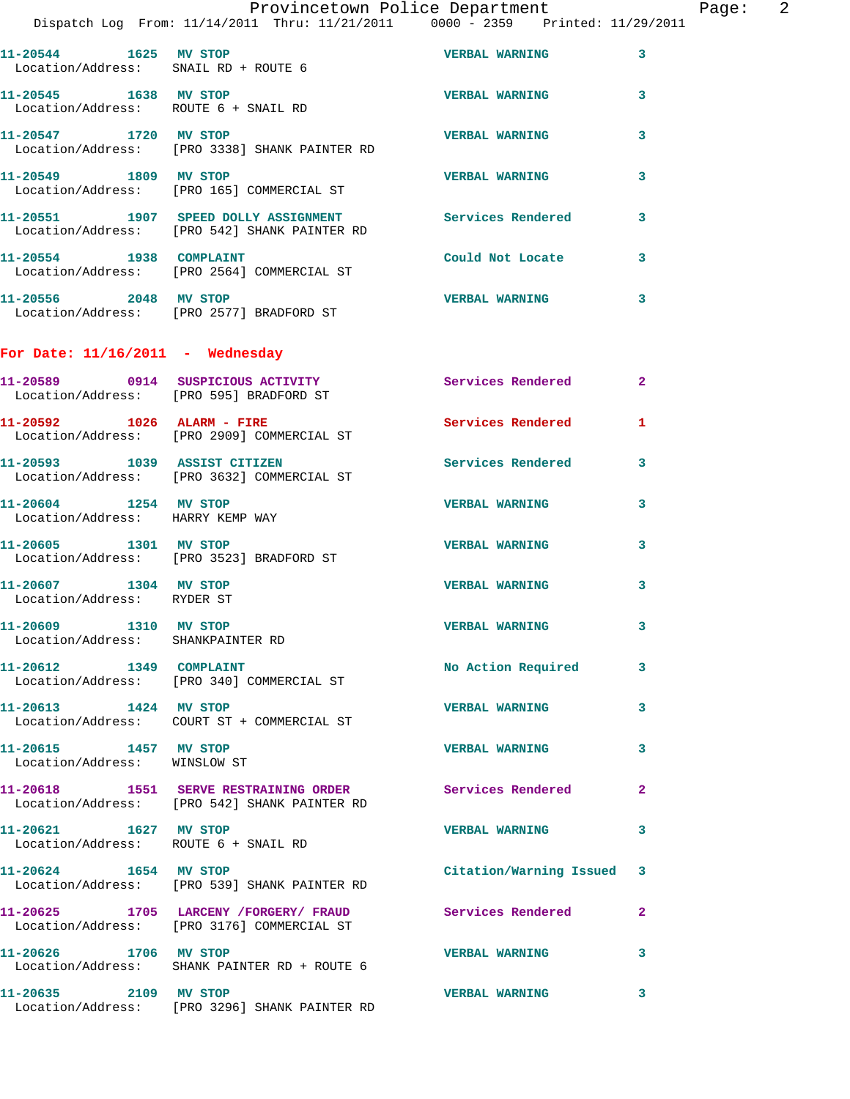|                                                               | Provincetown Police Department<br>Dispatch Log From: 11/14/2011 Thru: 11/21/2011 0000 - 2359 Printed: 11/29/2011 |                           |              | Page: 2 |  |
|---------------------------------------------------------------|------------------------------------------------------------------------------------------------------------------|---------------------------|--------------|---------|--|
|                                                               | 11-20544 1625 MV STOP 1600 VERBAL WARNING<br>Location/Address: SNAIL RD + ROUTE 6                                |                           | $\mathbf{3}$ |         |  |
| 11-20545 1638 MV STOP                                         | Location/Address: ROUTE 6 + SNAIL RD                                                                             | <b>VERBAL WARNING</b>     | $\mathbf{3}$ |         |  |
|                                                               | 11-20547            1720    MV STOP<br>Location/Address:     [PRO 3338] SHANK PAINTER RD                         | <b>VERBAL WARNING</b>     | 3            |         |  |
| 11-20549 1809 MV STOP                                         | Location/Address: [PRO 165] COMMERCIAL ST                                                                        | <b>VERBAL WARNING</b>     | 3            |         |  |
|                                                               | 11-20551 1907 SPEED DOLLY ASSIGNMENT Services Rendered 3<br>Location/Address: [PRO 542] SHANK PAINTER RD         |                           |              |         |  |
|                                                               | 11-20554 1938 COMPLAINT<br>Location/Address: [PRO 2564] COMMERCIAL ST                                            | Could Not Locate 3        |              |         |  |
|                                                               | 11-20556 2048 MV STOP<br>Location/Address: [PRO 2577] BRADFORD ST                                                | VERBAL WARNING 3          |              |         |  |
| For Date: $11/16/2011$ - Wednesday                            |                                                                                                                  |                           |              |         |  |
|                                                               | 11-20589 0914 SUSPICIOUS ACTIVITY Services Rendered 2<br>Location/Address: [PRO 595] BRADFORD ST                 |                           |              |         |  |
|                                                               | 11-20592 1026 ALARM - FIRE<br>Location/Address: [PRO 2909] COMMERCIAL ST                                         | Services Rendered         | $\mathbf{1}$ |         |  |
|                                                               | 11-20593 1039 ASSIST CITIZEN<br>Location/Address: [PRO 3632] COMMERCIAL ST                                       | Services Rendered 3       |              |         |  |
| 11-20604 1254 MV STOP<br>Location/Address: HARRY KEMP WAY     |                                                                                                                  | <b>VERBAL WARNING</b>     | 3            |         |  |
| 11-20605 1301 MV STOP                                         | Location/Address: [PRO 3523] BRADFORD ST                                                                         | <b>VERBAL WARNING</b>     | 3            |         |  |
| 11-20607 1304 MV STOP<br>Location/Address: RYDER ST           |                                                                                                                  | <b>VERBAL WARNING</b>     | 3            |         |  |
| 11-20609 1310 MV STOP<br>Location/Address: SHANKPAINTER RD    |                                                                                                                  | VERBAL WARNING 3          |              |         |  |
|                                                               | 11-20612 1349 COMPLAINT<br>Location/Address: [PRO 340] COMMERCIAL ST                                             | No Action Required 3      |              |         |  |
| 11-20613 1424 MV STOP                                         | Location/Address: COURT ST + COMMERCIAL ST                                                                       | <b>VERBAL WARNING</b>     | 3            |         |  |
| 11-20615 1457 MV STOP<br>Location/Address: WINSLOW ST         |                                                                                                                  | <b>VERBAL WARNING</b>     | 3            |         |  |
|                                                               | 11-20618 1551 SERVE RESTRAINING ORDER Services Rendered<br>Location/Address: [PRO 542] SHANK PAINTER RD          |                           | $\mathbf{2}$ |         |  |
| 11-20621 1627 MV STOP<br>Location/Address: ROUTE 6 + SNAIL RD |                                                                                                                  | <b>VERBAL WARNING</b>     | 3            |         |  |
| 11-20624 1654 MV STOP                                         | Location/Address: [PRO 539] SHANK PAINTER RD                                                                     | Citation/Warning Issued 3 |              |         |  |
|                                                               | 11-20625 1705 LARCENY /FORGERY/ FRAUD Services Rendered<br>Location/Address: [PRO 3176] COMMERCIAL ST            |                           | $\mathbf{2}$ |         |  |
| 11-20626 1706 MV STOP                                         | Location/Address: SHANK PAINTER RD + ROUTE 6                                                                     | <b>VERBAL WARNING</b>     | 3            |         |  |
| 11-20635 2109 MV STOP                                         | Location/Address: [PRO 3296] SHANK PAINTER RD                                                                    | <b>VERBAL WARNING</b>     | 3            |         |  |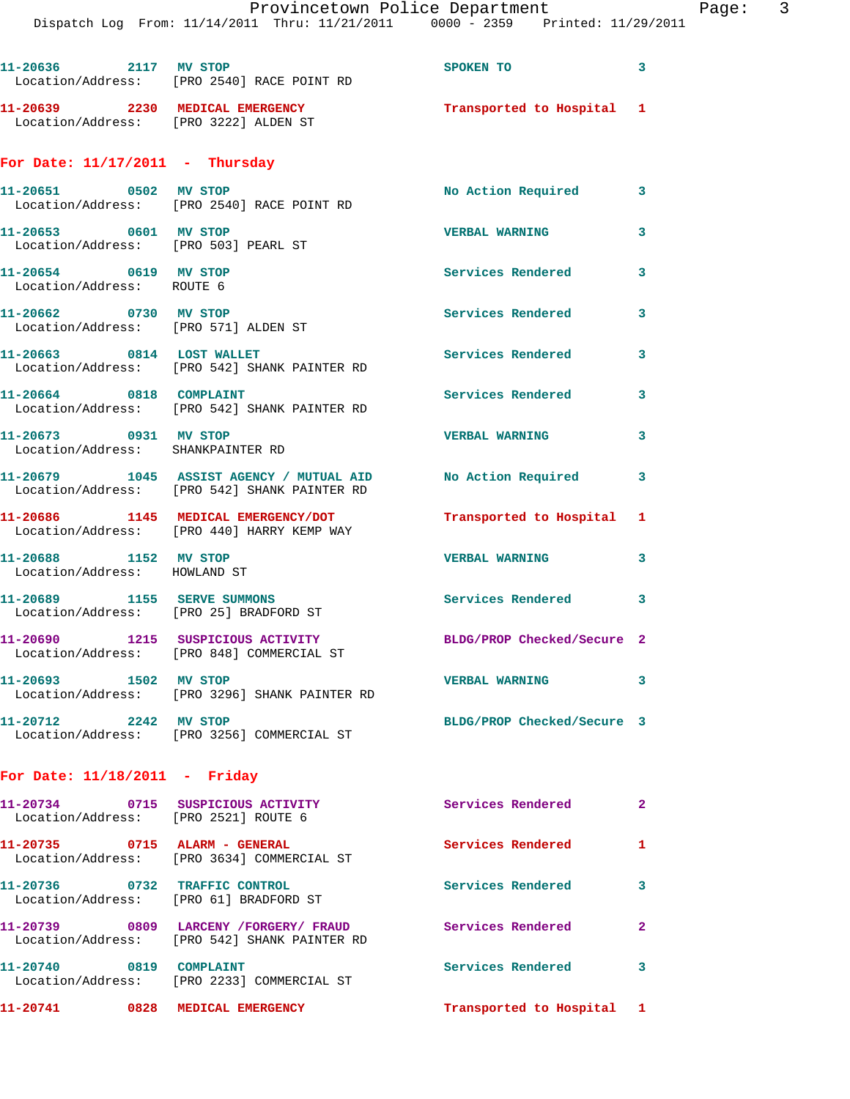**11-20636 2117 MV STOP SPOKEN TO 3**  Location/Address: [PRO 2540] RACE POINT RD **11-20639 2230 MEDICAL EMERGENCY Transported to Hospital 1**  Location/Address: [PRO 3222] ALDEN ST **For Date: 11/17/2011 - Thursday 11-20651 0502 MV STOP No Action Required 3**  Location/Address: [PRO 2540] RACE POINT RD **11-20653 0601 MV STOP VERBAL WARNING 3**  Location/Address: [PRO 503] PEARL ST 11-20654 0619 MV STOP **Services Rendered** 3 Location/Address: ROUTE 6 **11-20662 0730 MV STOP Services Rendered 3**  Location/Address: [PRO 571] ALDEN ST **11-20663 0814 LOST WALLET Services Rendered 3**  Location/Address: [PRO 542] SHANK PAINTER RD 11-20664 0818 COMPLAINT Services Rendered 3 Location/Address: [PRO 542] SHANK PAINTER RD **11-20673 0931 MV STOP VERBAL WARNING 3**  Location/Address: SHANKPAINTER RD **11-20679 1045 ASSIST AGENCY / MUTUAL AID No Action Required 3**  Location/Address: [PRO 542] SHANK PAINTER RD **11-20686 1145 MEDICAL EMERGENCY/DOT Transported to Hospital 1**  Location/Address: [PRO 440] HARRY KEMP WAY **11-20688 1152 MV STOP VERBAL WARNING 3**  Location/Address: HOWLAND ST **11-20689 1155 SERVE SUMMONS Services Rendered 3**  Location/Address: [PRO 25] BRADFORD ST **11-20690 1215 SUSPICIOUS ACTIVITY BLDG/PROP Checked/Secure 2**  Location/Address: [PRO 848] COMMERCIAL ST **11-20693 1502 MV STOP VERBAL WARNING 3**  Location/Address: [PRO 3296] SHANK PAINTER RD **11-20712 2242 MV STOP BLDG/PROP Checked/Secure 3**  Location/Address: [PRO 3256] COMMERCIAL ST **For Date: 11/18/2011 - Friday 11-20734 0715 SUSPICIOUS ACTIVITY Services Rendered 2**  Location/Address: [PRO 2521] ROUTE 6 **11-20735 0715 ALARM - GENERAL Services Rendered 1**  Location/Address: [PRO 3634] COMMERCIAL ST **11-20736 0732 TRAFFIC CONTROL Services Rendered 3**  Location/Address: [PRO 61] BRADFORD ST **11-20739 0809 LARCENY /FORGERY/ FRAUD Services Rendered 2**  Location/Address: [PRO 542] SHANK PAINTER RD 11-20740 0819 COMPLAINT **11-20740** Services Rendered 3 Location/Address: [PRO 2233] COMMERCIAL ST **11-20741 0828 MEDICAL EMERGENCY Transported to Hospital 1**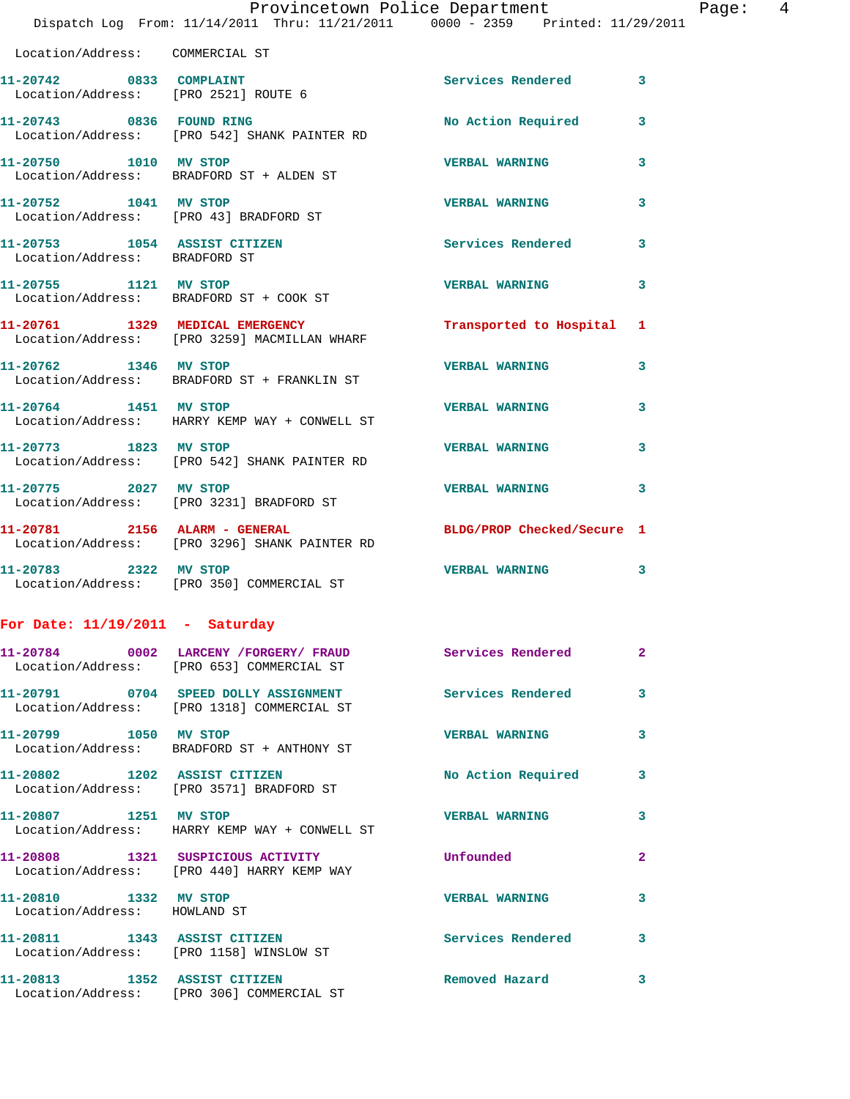|                                                               | Provincetown Police Department Page: 4<br>Dispatch Log From: 11/14/2011 Thru: 11/21/2011 0000 - 2359 Printed: 11/29/2011 |                            |              |
|---------------------------------------------------------------|--------------------------------------------------------------------------------------------------------------------------|----------------------------|--------------|
| Location/Address: COMMERCIAL ST                               |                                                                                                                          |                            |              |
| 11-20742 0833 COMPLAINT                                       | Location/Address: [PRO 2521] ROUTE 6                                                                                     | Services Rendered 3        |              |
|                                                               | 11-20743 0836 FOUND RING<br>Location/Address: [PRO 542] SHANK PAINTER RD                                                 | No Action Required         | $\mathbf{3}$ |
| 11-20750 1010 MV STOP                                         | Location/Address: BRADFORD ST + ALDEN ST                                                                                 | <b>VERBAL WARNING</b>      | 3            |
| 11-20752 1041 MV STOP                                         | Location/Address: [PRO 43] BRADFORD ST                                                                                   | <b>VERBAL WARNING</b>      | 3            |
| 11-20753 1054 ASSIST CITIZEN<br>Location/Address: BRADFORD ST |                                                                                                                          | Services Rendered          | 3            |
|                                                               | 11-20755 1121 MV STOP<br>Location/Address: BRADFORD ST + COOK ST                                                         | <b>VERBAL WARNING</b>      | 3            |
|                                                               | 11-20761 1329 MEDICAL EMERGENCY<br>Location/Address: [PRO 3259] MACMILLAN WHARF                                          | Transported to Hospital 1  |              |
| 11-20762 1346 MV STOP                                         | Location/Address: BRADFORD ST + FRANKLIN ST                                                                              | <b>VERBAL WARNING</b>      | 3            |
| 11-20764 1451 MV STOP                                         | Location/Address: HARRY KEMP WAY + CONWELL ST                                                                            | <b>VERBAL WARNING</b>      | 3            |
|                                                               | 11-20773 1823 MV STOP<br>Location/Address: [PRO 542] SHANK PAINTER RD                                                    | <b>VERBAL WARNING</b>      | 3            |
| 11-20775 2027 MV STOP                                         | Location/Address: [PRO 3231] BRADFORD ST                                                                                 | <b>VERBAL WARNING</b>      | 3            |
|                                                               | 11-20781 2156 ALARM - GENERAL<br>Location/Address: [PRO 3296] SHANK PAINTER RD                                           | BLDG/PROP Checked/Secure 1 |              |
|                                                               | 11-20783 2322 MV STOP<br>Location/Address: [PRO 350] COMMERCIAL ST                                                       | <b>VERBAL WARNING</b>      | 3            |
| For Date: $11/19/2011$ - Saturday                             |                                                                                                                          |                            |              |
|                                                               | 11-20784 0002 LARCENY / FORGERY / FRAUD Services Rendered<br>Location/Address: [PRO 653] COMMERCIAL ST                   |                            | 2            |
|                                                               | 11-20791 0704 SPEED DOLLY ASSIGNMENT<br>Location/Address: [PRO 1318] COMMERCIAL ST                                       | Services Rendered          | 3            |
| 11-20799 1050 MV STOP                                         | Location/Address: BRADFORD ST + ANTHONY ST                                                                               | <b>VERBAL WARNING</b>      | 3            |
|                                                               | 11-20802 1202 ASSIST CITIZEN<br>Location/Address: [PRO 3571] BRADFORD ST                                                 | No Action Required         | 3            |
| 11-20807 1251 MV STOP                                         | Location/Address: HARRY KEMP WAY + CONWELL ST                                                                            | <b>VERBAL WARNING</b>      | 3            |
|                                                               | 11-20808 1321 SUSPICIOUS ACTIVITY<br>Location/Address: [PRO 440] HARRY KEMP WAY                                          | Unfounded                  | $\mathbf{2}$ |
| 11-20810 1332 MV STOP<br>Location/Address: HOWLAND ST         |                                                                                                                          | <b>VERBAL WARNING</b>      | 3            |
|                                                               | 11-20811 1343 ASSIST CITIZEN<br>Location/Address: [PRO 1158] WINSLOW ST                                                  | Services Rendered 3        |              |
| 11-20813 1352 ASSIST CITIZEN                                  | Location/Address: [PRO 306] COMMERCIAL ST                                                                                | Removed Hazard             | 3            |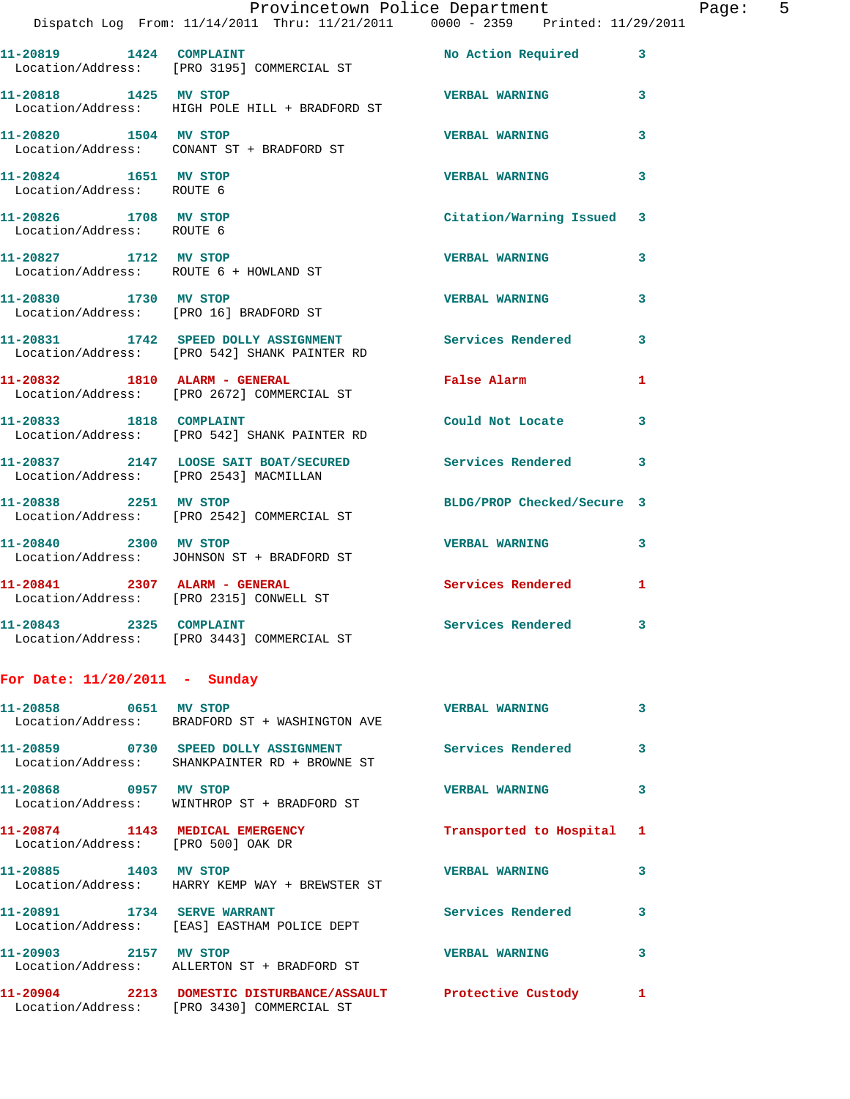|                                                    | Provincetown Police Department<br>Dispatch Log From: 11/14/2011 Thru: 11/21/2011 0000 - 2359 Printed: 11/29/2011 |                            |   |
|----------------------------------------------------|------------------------------------------------------------------------------------------------------------------|----------------------------|---|
|                                                    | 11-20819    1424    COMPLAINT<br>Location/Address: [PRO 3195] COMMERCIAL ST                                      | No Action Required         | 3 |
| 11-20818 1425 MV STOP                              | Location/Address: HIGH POLE HILL + BRADFORD ST                                                                   | <b>VERBAL WARNING</b>      | 3 |
| 11-20820 1504 MV STOP                              | Location/Address: CONANT ST + BRADFORD ST                                                                        | <b>VERBAL WARNING</b>      | 3 |
| 11-20824 1651 MV STOP<br>Location/Address: ROUTE 6 |                                                                                                                  | <b>VERBAL WARNING</b>      | 3 |
| 11-20826 1708 MV STOP<br>Location/Address: ROUTE 6 |                                                                                                                  | Citation/Warning Issued    | 3 |
| 11-20827 1712 MV STOP                              | Location/Address: ROUTE 6 + HOWLAND ST                                                                           | <b>VERBAL WARNING</b>      | 3 |
| 11-20830 1730 MV STOP                              | Location/Address: [PRO 16] BRADFORD ST                                                                           | <b>VERBAL WARNING</b>      | 3 |
|                                                    | 11-20831 1742 SPEED DOLLY ASSIGNMENT Services Rendered Location/Address: [PRO 542] SHANK PAINTER RD              |                            | 3 |
|                                                    | 11-20832 1810 ALARM - GENERAL<br>Location/Address: [PRO 2672] COMMERCIAL ST                                      | <b>False Alarm</b>         | 1 |
| 11-20833 1818 COMPLAINT                            | Location/Address: [PRO 542] SHANK PAINTER RD                                                                     | Could Not Locate           | 3 |
|                                                    | 11-20837 2147 LOOSE SAIT BOAT/SECURED<br>Location/Address: [PRO 2543] MACMILLAN                                  | Services Rendered          | 3 |
| 11-20838 2251 MV STOP                              | Location/Address: [PRO 2542] COMMERCIAL ST                                                                       | BLDG/PROP Checked/Secure 3 |   |
| 11-20840 2300 MV STOP                              | Location/Address: JOHNSON ST + BRADFORD ST                                                                       | <b>VERBAL WARNING</b>      | 3 |
|                                                    | 11-20841 2307 ALARM - GENERAL<br>Location/Address: [PRO 2315] CONWELL ST                                         | <b>Services Rendered</b>   | 1 |
| 11-20843 2325 COMPLAINT                            | Location/Address: [PRO 3443] COMMERCIAL ST                                                                       | Services Rendered          | 3 |
| For Date: $11/20/2011$ - Sunday                    |                                                                                                                  |                            |   |
| 11-20858 0651 MV STOP                              | Location/Address: BRADFORD ST + WASHINGTON AVE                                                                   | <b>VERBAL WARNING</b>      | 3 |
|                                                    | 11-20859 0730 SPEED DOLLY ASSIGNMENT Services Rendered<br>Location/Address: SHANKPAINTER RD + BROWNE ST          |                            | 3 |
| 11-20868 0957 MV STOP                              | Location/Address: WINTHROP ST + BRADFORD ST                                                                      | <b>VERBAL WARNING</b>      | 3 |
| Location/Address: [PRO 500] OAK DR                 | 11-20874 1143 MEDICAL EMERGENCY Transported to Hospital                                                          |                            | 1 |
| 11-20885 1403 MV STOP                              | Location/Address: HARRY KEMP WAY + BREWSTER ST                                                                   | <b>VERBAL WARNING</b>      | 3 |
| 11-20891 1734 SERVE WARRANT                        | Location/Address: [EAS] EASTHAM POLICE DEPT                                                                      | Services Rendered          | 3 |
| 11-20903 2157 MV STOP                              | Location/Address: ALLERTON ST + BRADFORD ST                                                                      | <b>VERBAL WARNING</b>      | 3 |
|                                                    | 11-20904 2213 DOMESTIC DISTURBANCE/ASSAULT Protective Custody<br>Location/Address: [PRO 3430] COMMERCIAL ST      |                            | 1 |

Page: 5<br>011